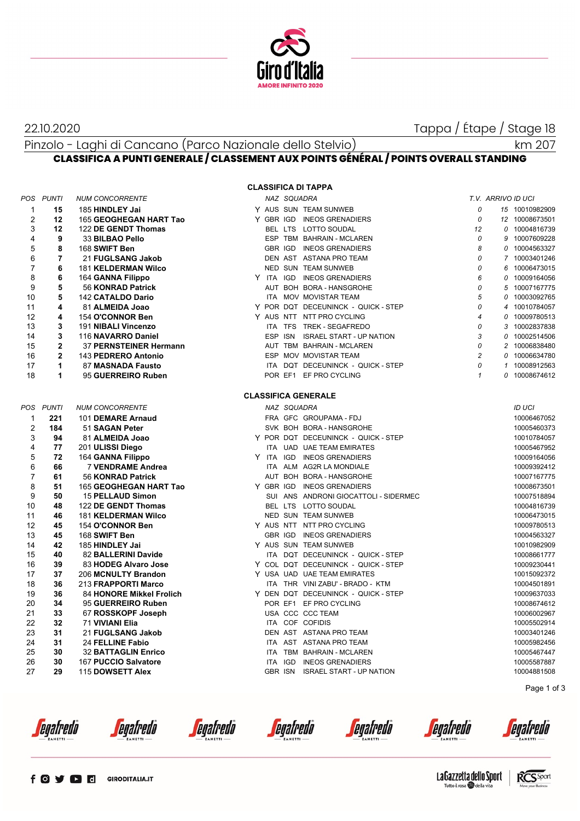

22.10.2020 Tappa / Étape / Stage 18

km 207

### Pinzolo - Laghi di Cancano (Parco Nazionale dello Stelvio) **CLASSIFICA A PUNTI GENERALE / CLASSEMENT AUX POINTS GÉNÉRAL / POINTS OVERALL STANDING**

#### **CLASSIFICA DI TAPPA**

|                | POS PUNTI      | <b>NUM CONCORRENTE</b>     |  | NAZ SQUADRA |                                       |                | T.V. ARRIVO ID UCI |                |
|----------------|----------------|----------------------------|--|-------------|---------------------------------------|----------------|--------------------|----------------|
| $\mathbf{1}$   | 15             | 185 HINDLEY Jai            |  |             | Y AUS SUN TEAM SUNWEB                 | 0              |                    | 15 10010982909 |
| $\overline{2}$ | 12             | 165 GEOGHEGAN HART Tao     |  |             | Y GBR IGD INEOS GRENADIERS            | 0              |                    | 12 10008673501 |
| 3              | 12             | 122 DE GENDT Thomas        |  |             | BEL LTS LOTTO SOUDAL                  | 12             |                    | 0 10004816739  |
| $\overline{4}$ | 9              | 33 BILBAO Pello            |  |             | ESP TBM BAHRAIN - MCLAREN             | 0              |                    | 9 10007609228  |
| 5              | 8              | 168 SWIFT Ben              |  |             | GBR IGD INEOS GRENADIERS              | 8              |                    | 0 10004563327  |
| 6              | $\overline{7}$ | 21 FUGLSANG Jakob          |  |             | DEN AST ASTANA PRO TEAM               | 0              |                    | 7 10003401246  |
| $\overline{7}$ | 6              | <b>181 KELDERMAN Wilco</b> |  |             | NED SUN TEAM SUNWEB                   | 0              |                    | 6 10006473015  |
| 8              | 6              | 164 GANNA Filippo          |  |             | Y ITA IGD INEOS GRENADIERS            | 6              |                    | 0 10009164056  |
| 9              | 5              | 56 KONRAD Patrick          |  |             | AUT BOH BORA - HANSGROHE              | 0              |                    | 5 10007167775  |
| 10             | 5              | <b>142 CATALDO Dario</b>   |  |             | ITA MOV MOVISTAR TEAM                 | 5              |                    | 0 10003092765  |
| 11             | 4              | 81 ALMEIDA Joao            |  |             | Y POR DQT DECEUNINCK - QUICK - STEP   | 0              |                    | 4 10010784057  |
| 12             | 4              | 154 O'CONNOR Ben           |  |             | Y AUS NTT NTT PRO CYCLING             | $\overline{4}$ |                    | 0 10009780513  |
| 13             | 3              | 191 NIBALI Vincenzo        |  |             | ITA TFS TREK - SEGAFREDO              | 0              |                    | 3 10002837838  |
| 14             | 3              | 116 NAVARRO Daniel         |  |             | ESP ISN ISRAEL START - UP NATION      | 3              |                    | 0 10002514506  |
| 15             | $\overline{2}$ | 37 PERNSTEINER Hermann     |  |             | AUT TBM BAHRAIN - MCLAREN             | 0              |                    | 2 10006838480  |
| 16             | $\overline{2}$ | 143 PEDRERO Antonio        |  |             | ESP MOV MOVISTAR TEAM                 | $\overline{c}$ |                    | 0 10006634780  |
| 17             | $\mathbf{1}$   |                            |  |             |                                       | 0              |                    | 1 10008912563  |
|                | 1              | 87 MASNADA Fausto          |  |             | ITA DQT DECEUNINCK - QUICK - STEP     | $\mathbf{1}$   |                    | 0 10008674612  |
| 18             |                | 95 GUERREIRO Ruben         |  |             | POR EF1 EF PRO CYCLING                |                |                    |                |
|                |                |                            |  |             | <b>CLASSIFICA GENERALE</b>            |                |                    |                |
|                | POS PUNTI      | <b>NUM CONCORRENTE</b>     |  | NAZ SQUADRA |                                       |                |                    | ID UCI         |
| $\mathbf{1}$   | 221            | 101 DEMARE Arnaud          |  |             | FRA GFC GROUPAMA - FDJ                |                |                    | 10006467052    |
| $\overline{2}$ | 184            | 51 SAGAN Peter             |  |             | SVK BOH BORA - HANSGROHE              |                |                    | 10005460373    |
| 3              | 94             | 81 ALMEIDA Joao            |  |             | Y POR DQT DECEUNINCK - QUICK - STEP   |                |                    | 10010784057    |
| $\overline{4}$ | 77             | 201 ULISSI Diego           |  |             | ITA UAD UAE TEAM EMIRATES             |                |                    | 10005467952    |
| 5              | 72             | 164 GANNA Filippo          |  |             | Y ITA IGD INEOS GRENADIERS            |                |                    | 10009164056    |
| 6              | 66             | 7 VENDRAME Andrea          |  |             | ITA ALM AG2R LA MONDIALE              |                |                    | 10009392412    |
| $\overline{7}$ | 61             | 56 KONRAD Patrick          |  |             | AUT BOH BORA - HANSGROHE              |                |                    | 10007167775    |
| 8              | 51             | 165 GEOGHEGAN HART Tao     |  |             | Y GBR IGD INEOS GRENADIERS            |                |                    | 10008673501    |
| 9              | 50             | 15 PELLAUD Simon           |  |             | SUI ANS ANDRONI GIOCATTOLI - SIDERMEC |                |                    | 10007518894    |
| 10             | 48             | 122 DE GENDT Thomas        |  |             | BEL LTS LOTTO SOUDAL                  |                |                    | 10004816739    |
| 11             | 46             | <b>181 KELDERMAN Wilco</b> |  |             | NED SUN TEAM SUNWEB                   |                |                    | 10006473015    |
| 12             | 45             | 154 O'CONNOR Ben           |  |             | Y AUS NTT NTT PRO CYCLING             |                |                    | 10009780513    |
| 13             | 45             | 168 SWIFT Ben              |  |             | GBR IGD INEOS GRENADIERS              |                |                    | 10004563327    |
| 14             | 42             | 185 HINDLEY Jai            |  |             | Y AUS SUN TEAM SUNWEB                 |                |                    | 10010982909    |
| 15             | 40             | 82 BALLERINI Davide        |  |             | ITA DQT DECEUNINCK - QUICK - STEP     |                |                    | 10008661777    |
| 16             | 39             | 83 HODEG Alvaro Jose       |  |             | Y COL DQT DECEUNINCK - QUICK - STEP   |                |                    | 10009230441    |
| 17             | 37             |                            |  |             | Y USA UAD UAE TEAM EMIRATES           |                |                    | 10015092372    |
| 18             | 36             | 206 MCNULTY Brandon        |  |             | ITA THR VINI ZABU' - BRADO - KTM      |                |                    |                |
|                | 36             | 213 FRAPPORTI Marco        |  |             | Y DEN DQT DECEUNINCK - QUICK - STEP   |                |                    | 10004501891    |
| 19             |                | 84 HONORE Mikkel Frolich   |  |             |                                       |                |                    | 10009637033    |
| 20             | 34             | 95 GUERREIRO Ruben         |  |             | POR EF1 EF PRO CYCLING                |                |                    | 10008674612    |
| 21             | 33             | 67 ROSSKOPF Joseph         |  |             | USA CCC CCC TEAM                      |                |                    | 10006002967    |
| 22             | 32             | 71 VIVIANI Elia            |  |             | ITA COF COFIDIS                       |                |                    | 10005502914    |
| 23             | 31             | 21 FUGLSANG Jakob          |  |             | DEN AST ASTANA PRO TEAM               |                |                    | 10003401246    |
| 24             | 31             | 24 FELLINE Fabio           |  |             | ITA AST ASTANA PRO TEAM               |                |                    | 10005982456    |
| 25             | 30             | <b>32 BATTAGLIN Enrico</b> |  |             | ITA TBM BAHRAIN - MCLAREN             |                |                    | 10005467447    |
| 26             | 30             | 167 PUCCIO Salvatore       |  |             | ITA IGD INEOS GRENADIERS              |                |                    | 10005587887    |
| 27             | 29             | 115 DOWSETT Alex           |  |             | GBR ISN ISRAEL START - UP NATION      |                |                    | 10004881508    |

Page 1 of 3



*<u>egafredò</u>* 

*<u>egafredo</u>* 

*<u>egafredo</u>* 

*<u>egafredò</u>* 



La Gazzetta dello Sport Tutto il rosa della vita

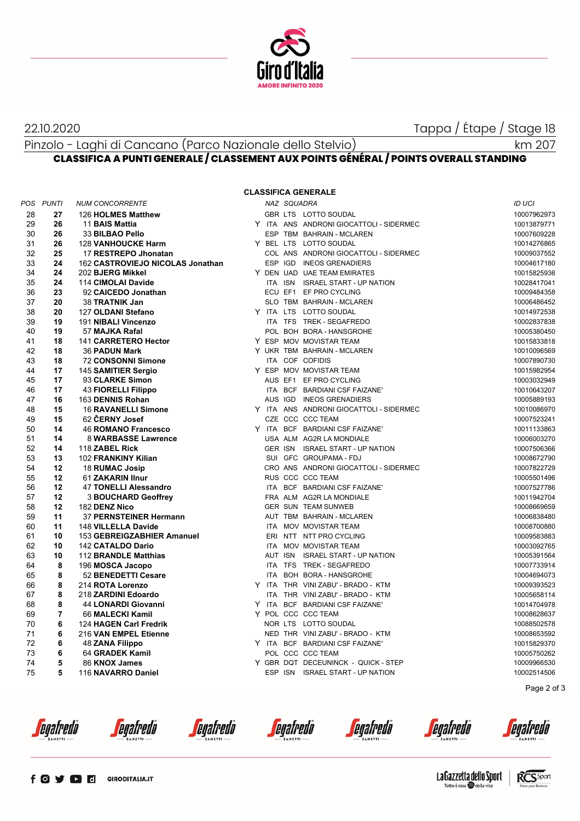

22.10.2020 Tappa / Étape / Stage 18

# Pinzolo - Laghi di Cancano (Parco Nazionale dello Stelvio)

km 207

# **CLASSIFICA A PUNTI GENERALE / CLASSEMENT AUX POINTS GÉNÉRAL / POINTS OVERALL STANDING**

## **CLASSIFICA GENERALE**

|    | POS PUNTI      | <b>NUM CONCORRENTE</b>           |  | NAZ SQUADRA |                                         | ID UCI      |
|----|----------------|----------------------------------|--|-------------|-----------------------------------------|-------------|
| 28 | 27             | 126 HOLMES Matthew               |  |             | GBR LTS LOTTO SOUDAL                    | 10007962973 |
| 29 | 26             | 11 BAIS Mattia                   |  |             | Y ITA ANS ANDRONI GIOCATTOLI - SIDERMEC | 10013879771 |
| 30 | 26             | 33 BILBAO Pello                  |  |             | ESP TBM BAHRAIN - MCLAREN               | 10007609228 |
| 31 | 26             | <b>128 VANHOUCKE Harm</b>        |  |             | Y BEL LTS LOTTO SOUDAL                  | 10014276865 |
| 32 | 25             | 17 RESTREPO Jhonatan             |  |             | COL ANS ANDRONI GIOCATTOLI - SIDERMEC   | 10009037552 |
| 33 | 24             | 162 CASTROVIEJO NICOLAS Jonathan |  |             | ESP IGD INEOS GRENADIERS                | 10004617180 |
| 34 | 24             | 202 BJERG Mikkel                 |  |             | Y DEN UAD UAE TEAM EMIRATES             | 10015825936 |
| 35 | 24             | 114 CIMOLAI Davide               |  |             | ITA ISN ISRAEL START - UP NATION        | 10028417041 |
| 36 | 23             | 92 CAICEDO Jonathan              |  |             | ECU EF1 EF PRO CYCLING                  | 10009484358 |
| 37 | 20             | 38 TRATNIK Jan                   |  |             | SLO TBM BAHRAIN - MCLAREN               | 10006486452 |
| 38 | 20             | 127 OLDANI Stefano               |  |             | Y ITA LTS LOTTO SOUDAL                  | 10014972538 |
| 39 | 19             | 191 NIBALI Vincenzo              |  |             | ITA TFS TREK - SEGAFREDO                | 10002837838 |
| 40 | 19             | 57 MAJKA Rafal                   |  |             | POL BOH BORA - HANSGROHE                | 10005380450 |
| 41 | 18             | 141 CARRETERO Hector             |  |             | Y ESP MOV MOVISTAR TEAM                 | 10015833818 |
| 42 | 18             | <b>36 PADUN Mark</b>             |  |             | Y UKR TBM BAHRAIN - MCLAREN             | 10010096569 |
| 43 | 18             | <b>72 CONSONNI Simone</b>        |  |             | ITA COF COFIDIS                         | 10007890730 |
| 44 | 17             | 145 SAMITIER Sergio              |  |             | Y ESP MOV MOVISTAR TEAM                 | 10015982954 |
| 45 | 17             | 93 CLARKE Simon                  |  |             | AUS EF1 EF PRO CYCLING                  | 10003032949 |
| 46 | 17             | 43 FIORELLI Filippo              |  |             | ITA BCF BARDIANI CSF FAIZANE'           | 10010643207 |
| 47 | 16             | 163 DENNIS Rohan                 |  |             | AUS IGD INEOS GRENADIERS                | 10005889193 |
| 48 | 15             | <b>16 RAVANELLI Simone</b>       |  |             | Y ITA ANS ANDRONI GIOCATTOLI - SIDERMEC | 10010086970 |
| 49 | 15             | 62 CERNY Josef                   |  |             | CZE CCC CCC TEAM                        | 10007523241 |
| 50 | 14             | 46 ROMANO Francesco              |  |             | Y ITA BCF BARDIANI CSF FAIZANE'         | 10011133863 |
| 51 | 14             | 8 WARBASSE Lawrence              |  |             | USA ALM AG2R LA MONDIALE                | 10006003270 |
| 52 | 14             | 118 ZABEL Rick                   |  |             | GER ISN ISRAEL START - UP NATION        | 10007506366 |
| 53 | 13             | 102 FRANKINY Kilian              |  |             | SUI GFC GROUPAMA - FDJ                  | 10008672790 |
| 54 | 12             | 18 RUMAC Josip                   |  |             | CRO ANS ANDRONI GIOCATTOLI - SIDERMEC   | 10007822729 |
| 55 | 12             | 61 ZAKARIN IInur                 |  |             | RUS CCC CCC TEAM                        | 10005501496 |
| 56 | 12             | 47 TONELLI Alessandro            |  |             | ITA BCF BARDIANI CSF FAIZANE'           | 10007527786 |
| 57 | 12             | <b>3 BOUCHARD Geoffrey</b>       |  |             | FRA ALM AG2R LA MONDIALE                | 10011942704 |
| 58 | 12             | 182 DENZ Nico                    |  |             | <b>GER SUN TEAM SUNWEB</b>              | 10008669659 |
| 59 | 11             | 37 PERNSTEINER Hermann           |  |             | AUT TBM BAHRAIN - MCLAREN               | 10006838480 |
| 60 | 11             | 148 VILLELLA Davide              |  |             | ITA MOV MOVISTAR TEAM                   | 10008700880 |
| 61 | 10             | 153 GEBREIGZABHIER Amanuel       |  |             | ERI NTT NTT PRO CYCLING                 | 10009583883 |
| 62 | 10             | 142 CATALDO Dario                |  |             | ITA MOV MOVISTAR TEAM                   | 10003092765 |
| 63 | 10             | 112 BRANDLE Matthias             |  |             | AUT ISN ISRAEL START - UP NATION        | 10005391564 |
| 64 | 8              | 196 MOSCA Jacopo                 |  |             | ITA TFS TREK - SEGAFREDO                | 10007733914 |
| 65 | 8              | 52 BENEDETTI Cesare              |  |             | ITA BOH BORA - HANSGROHE                | 10004694073 |
| 66 | 8              | 214 ROTA Lorenzo                 |  |             | Y ITA THR VINI ZABU' - BRADO - KTM      | 10009393523 |
| 67 | 8              | 218 ZARDINI Edoardo              |  |             | ITA THR VINI ZABU' - BRADO - KTM        | 10005658114 |
| 68 | 8              | 44 LONARDI Giovanni              |  |             | Y ITA BCF BARDIANI CSF FAIZANE'         | 10014704978 |
| 69 | $\overline{7}$ | 66 MALECKI Kamil                 |  |             | Y POL CCC CCC TEAM                      | 10008628637 |
| 70 | 6              | 124 HAGEN Carl Fredrik           |  |             | NOR LTS LOTTO SOUDAL                    | 10088502578 |
| 71 | 6              | 216 VAN EMPEL Etienne            |  |             | NED THR VINI ZABU' - BRADO - KTM        | 10008653592 |
| 72 | 6              | <b>48 ZANA Filippo</b>           |  |             | Y ITA BCF BARDIANI CSF FAIZANE'         | 10015829370 |
| 73 | 6              | 64 GRADEK Kamil                  |  |             | POL CCC CCC TEAM                        | 10005750262 |
| 74 | 5              | 86 KNOX James                    |  |             | Y GBR DQT DECEUNINCK - QUICK - STEP     | 10009966530 |
| 75 | 5              | 116 NAVARRO Daniel               |  |             | ESP ISN ISRAEL START - UP NATION        | 10002514506 |
|    |                |                                  |  |             |                                         |             |

Page 2 of 3

*<u>egafredo</u>* 

*<u>egafredo</u>* 

*<u>egafredo</u>* 

*<u>egafredo</u>* 

egafredo